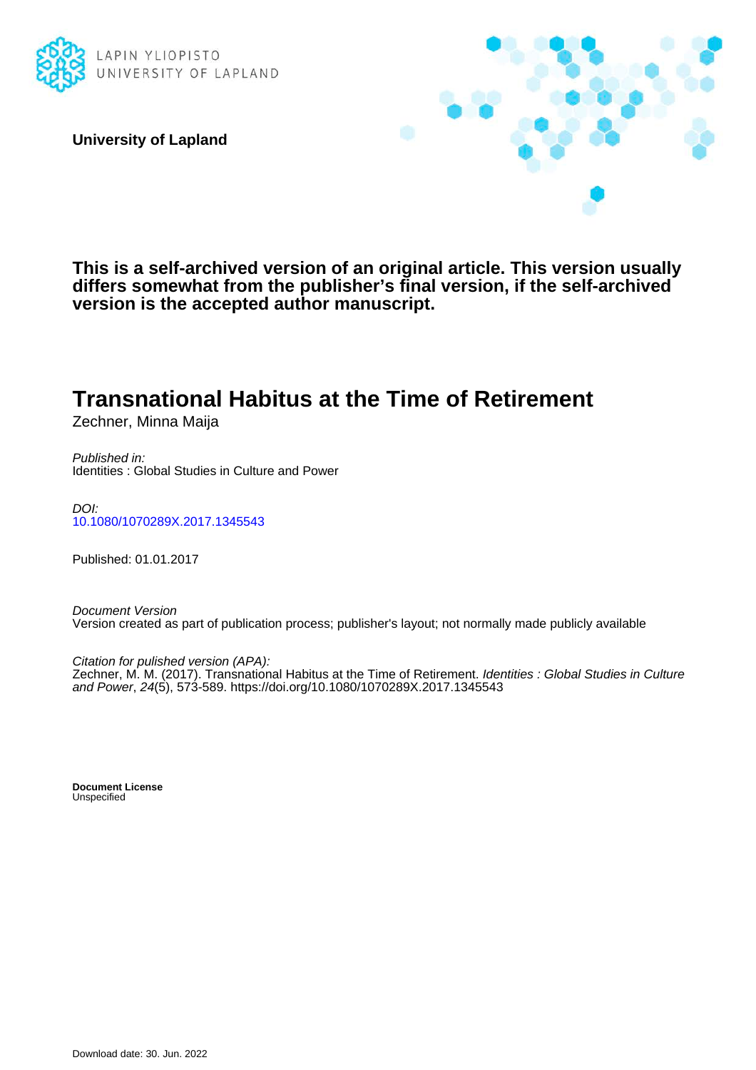

**University of Lapland**



**This is a self-archived version of an original article. This version usually differs somewhat from the publisher's final version, if the self-archived version is the accepted author manuscript.**

# **Transnational Habitus at the Time of Retirement**

Zechner, Minna Maija

Published in: Identities : Global Studies in Culture and Power

DOI: [10.1080/1070289X.2017.1345543](https://doi.org/10.1080/1070289X.2017.1345543)

Published: 01.01.2017

Document Version Version created as part of publication process; publisher's layout; not normally made publicly available

Citation for pulished version (APA):

Zechner, M. M. (2017). Transnational Habitus at the Time of Retirement. *Identities : Global Studies in Culture* and Power, 24(5), 573-589. <https://doi.org/10.1080/1070289X.2017.1345543>

**Document License** Unspecified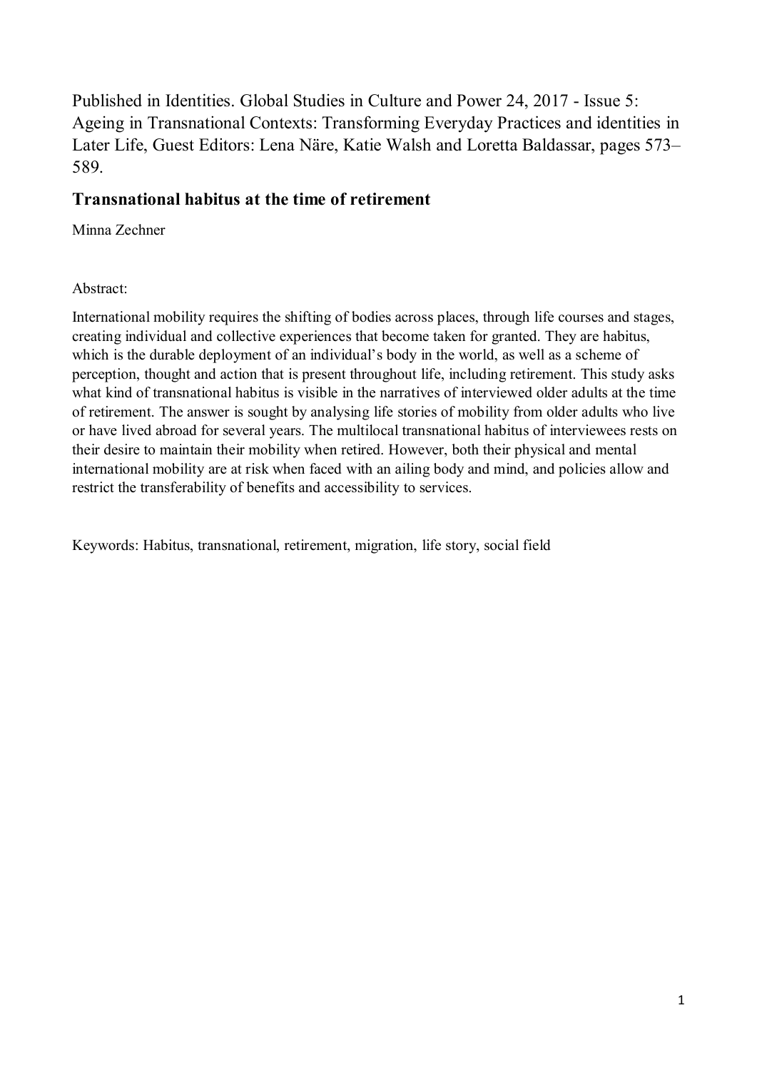Published in Identities. Global Studies in Culture and Power 24, 2017 - Issue 5: Ageing in Transnational Contexts: Transforming Everyday Practices and identities in Later Life, Guest Editors: Lena Näre, Katie Walsh and Loretta Baldassar, pages 573– 589.

## **Transnational habitus at the time of retirement**

Minna Zechner

#### Abstract:

International mobility requires the shifting of bodies across places, through life courses and stages, creating individual and collective experiences that become taken for granted. They are habitus, which is the durable deployment of an individual's body in the world, as well as a scheme of perception, thought and action that is present throughout life, including retirement. This study asks what kind of transnational habitus is visible in the narratives of interviewed older adults at the time of retirement. The answer is sought by analysing life stories of mobility from older adults who live or have lived abroad for several years. The multilocal transnational habitus of interviewees rests on their desire to maintain their mobility when retired. However, both their physical and mental international mobility are at risk when faced with an ailing body and mind, and policies allow and restrict the transferability of benefits and accessibility to services.

Keywords: Habitus, transnational, retirement, migration, life story, social field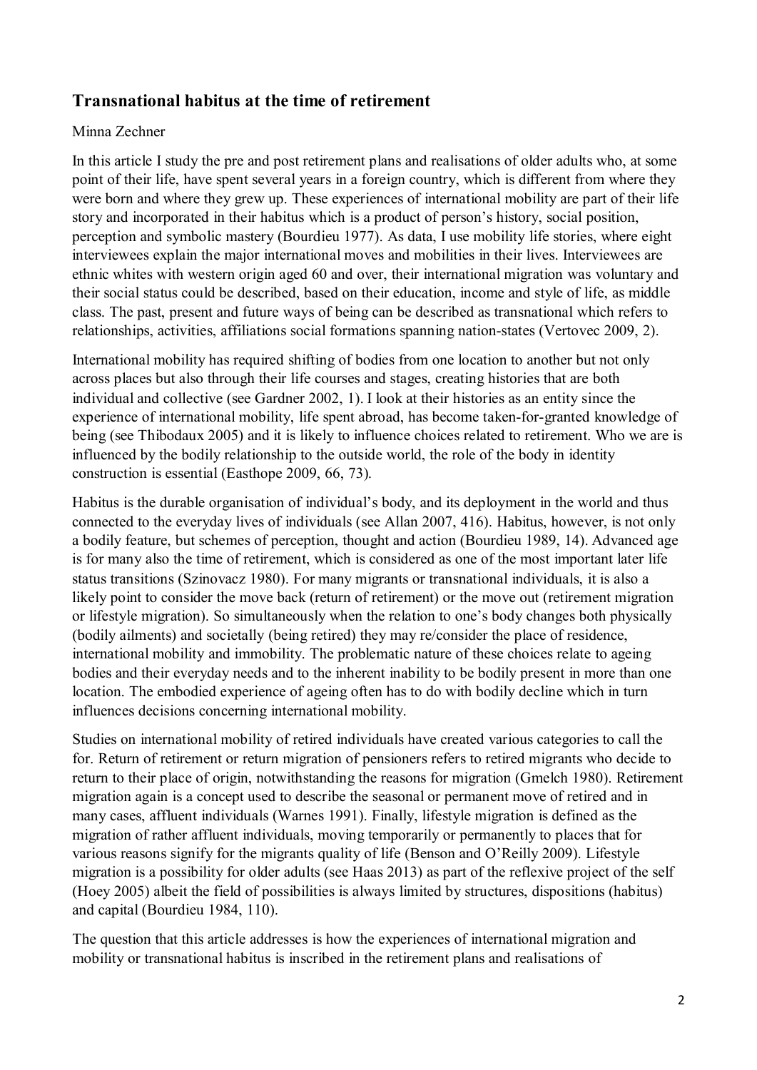## **Transnational habitus at the time of retirement**

#### Minna Zechner

In this article I study the pre and post retirement plans and realisations of older adults who, at some point of their life, have spent several years in a foreign country, which is different from where they were born and where they grew up. These experiences of international mobility are part of their life story and incorporated in their habitus which is a product of person's history, social position, perception and symbolic mastery (Bourdieu 1977). As data, I use mobility life stories, where eight interviewees explain the major international moves and mobilities in their lives. Interviewees are ethnic whites with western origin aged 60 and over, their international migration was voluntary and their social status could be described, based on their education, income and style of life, as middle class. The past, present and future ways of being can be described as transnational which refers to relationships, activities, affiliations social formations spanning nation-states (Vertovec 2009, 2).

International mobility has required shifting of bodies from one location to another but not only across places but also through their life courses and stages, creating histories that are both individual and collective (see Gardner 2002, 1). I look at their histories as an entity since the experience of international mobility, life spent abroad, has become taken-for-granted knowledge of being (see Thibodaux 2005) and it is likely to influence choices related to retirement. Who we are is influenced by the bodily relationship to the outside world, the role of the body in identity construction is essential (Easthope 2009, 66, 73).

Habitus is the durable organisation of individual's body, and its deployment in the world and thus connected to the everyday lives of individuals (see Allan 2007, 416). Habitus, however, is not only a bodily feature, but schemes of perception, thought and action (Bourdieu 1989, 14). Advanced age is for many also the time of retirement, which is considered as one of the most important later life status transitions (Szinovacz 1980). For many migrants or transnational individuals, it is also a likely point to consider the move back (return of retirement) or the move out (retirement migration or lifestyle migration). So simultaneously when the relation to one's body changes both physically (bodily ailments) and societally (being retired) they may re/consider the place of residence, international mobility and immobility. The problematic nature of these choices relate to ageing bodies and their everyday needs and to the inherent inability to be bodily present in more than one location. The embodied experience of ageing often has to do with bodily decline which in turn influences decisions concerning international mobility.

Studies on international mobility of retired individuals have created various categories to call the for. Return of retirement or return migration of pensioners refers to retired migrants who decide to return to their place of origin, notwithstanding the reasons for migration (Gmelch 1980). Retirement migration again is a concept used to describe the seasonal or permanent move of retired and in many cases, affluent individuals (Warnes 1991). Finally, lifestyle migration is defined as the migration of rather affluent individuals, moving temporarily or permanently to places that for various reasons signify for the migrants quality of life (Benson and O'Reilly 2009). Lifestyle migration is a possibility for older adults (see Haas 2013) as part of the reflexive project of the self (Hoey 2005) albeit the field of possibilities is always limited by structures, dispositions (habitus) and capital (Bourdieu 1984, 110).

The question that this article addresses is how the experiences of international migration and mobility or transnational habitus is inscribed in the retirement plans and realisations of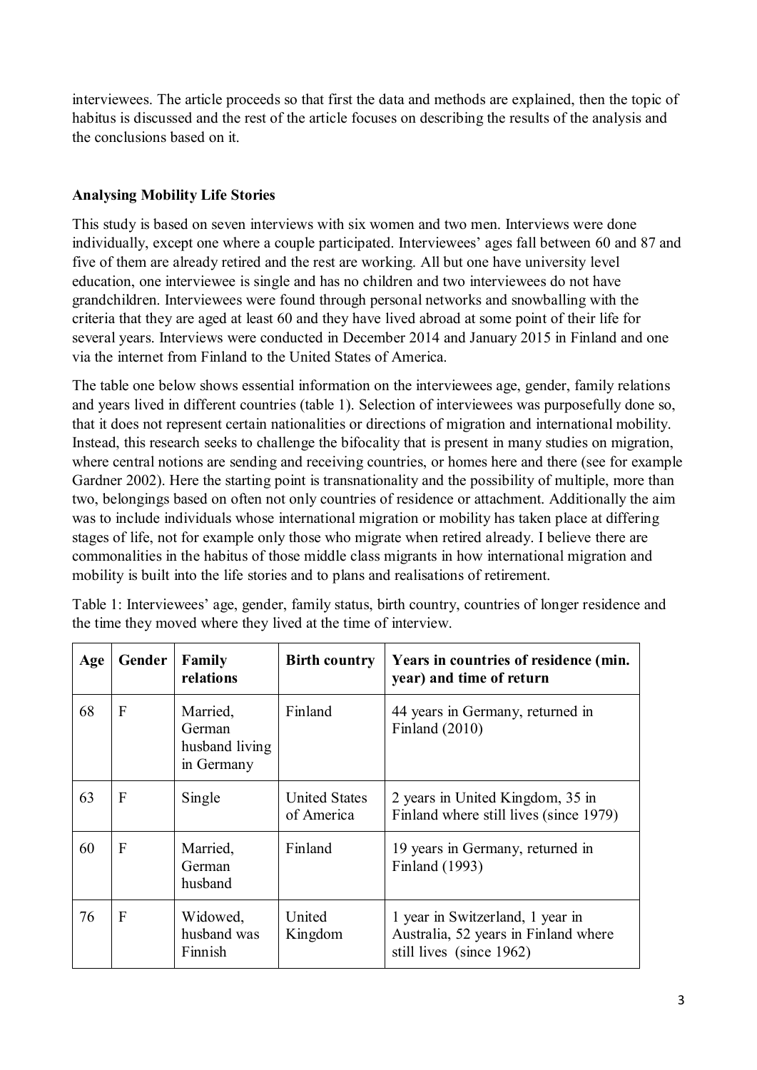interviewees. The article proceeds so that first the data and methods are explained, then the topic of habitus is discussed and the rest of the article focuses on describing the results of the analysis and the conclusions based on it.

### **Analysing Mobility Life Stories**

This study is based on seven interviews with six women and two men. Interviews were done individually, except one where a couple participated. Interviewees' ages fall between 60 and 87 and five of them are already retired and the rest are working. All but one have university level education, one interviewee is single and has no children and two interviewees do not have grandchildren. Interviewees were found through personal networks and snowballing with the criteria that they are aged at least 60 and they have lived abroad at some point of their life for several years. Interviews were conducted in December 2014 and January 2015 in Finland and one via the internet from Finland to the United States of America.

The table one below shows essential information on the interviewees age, gender, family relations and years lived in different countries (table 1). Selection of interviewees was purposefully done so, that it does not represent certain nationalities or directions of migration and international mobility. Instead, this research seeks to challenge the bifocality that is present in many studies on migration, where central notions are sending and receiving countries, or homes here and there (see for example Gardner 2002). Here the starting point is transnationality and the possibility of multiple, more than two, belongings based on often not only countries of residence or attachment. Additionally the aim was to include individuals whose international migration or mobility has taken place at differing stages of life, not for example only those who migrate when retired already. I believe there are commonalities in the habitus of those middle class migrants in how international migration and mobility is built into the life stories and to plans and realisations of retirement.

| Age | Gender         | Family<br>relations                                | <b>Birth country</b>               | Years in countries of residence (min.<br>year) and time of return                                    |
|-----|----------------|----------------------------------------------------|------------------------------------|------------------------------------------------------------------------------------------------------|
| 68  | F              | Married,<br>German<br>husband living<br>in Germany | Finland                            | 44 years in Germany, returned in<br>Finland $(2010)$                                                 |
| 63  | F              | Single                                             | <b>United States</b><br>of America | 2 years in United Kingdom, 35 in<br>Finland where still lives (since 1979)                           |
| 60  | $\overline{F}$ | Married,<br>German<br>husband                      | Finland                            | 19 years in Germany, returned in<br>Finland (1993)                                                   |
| 76  | $\overline{F}$ | Widowed,<br>husband was<br>Finnish                 | United<br>Kingdom                  | 1 year in Switzerland, 1 year in<br>Australia, 52 years in Finland where<br>still lives (since 1962) |

Table 1: Interviewees' age, gender, family status, birth country, countries of longer residence and the time they moved where they lived at the time of interview.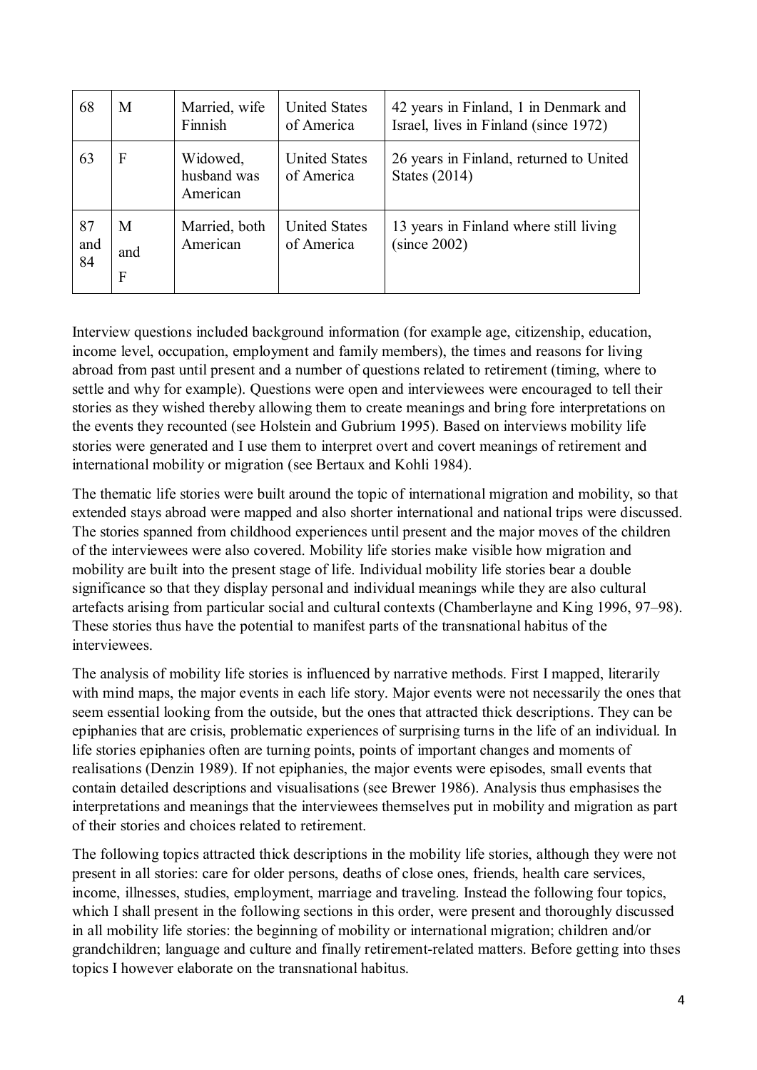| 68              | M             | Married, wife<br>Finnish            | <b>United States</b><br>of America | 42 years in Finland, 1 in Denmark and<br>Israel, lives in Finland (since 1972) |
|-----------------|---------------|-------------------------------------|------------------------------------|--------------------------------------------------------------------------------|
| 63              | $\mathbf{F}$  | Widowed,<br>husband was<br>American | <b>United States</b><br>of America | 26 years in Finland, returned to United<br>States $(2014)$                     |
| 87<br>and<br>84 | M<br>and<br>F | Married, both<br>American           | <b>United States</b><br>of America | 13 years in Finland where still living<br>(since 2002)                         |

Interview questions included background information (for example age, citizenship, education, income level, occupation, employment and family members), the times and reasons for living abroad from past until present and a number of questions related to retirement (timing, where to settle and why for example). Questions were open and interviewees were encouraged to tell their stories as they wished thereby allowing them to create meanings and bring fore interpretations on the events they recounted (see Holstein and Gubrium 1995). Based on interviews mobility life stories were generated and I use them to interpret overt and covert meanings of retirement and international mobility or migration (see Bertaux and Kohli 1984).

The thematic life stories were built around the topic of international migration and mobility, so that extended stays abroad were mapped and also shorter international and national trips were discussed. The stories spanned from childhood experiences until present and the major moves of the children of the interviewees were also covered. Mobility life stories make visible how migration and mobility are built into the present stage of life. Individual mobility life stories bear a double significance so that they display personal and individual meanings while they are also cultural artefacts arising from particular social and cultural contexts (Chamberlayne and King 1996, 97–98). These stories thus have the potential to manifest parts of the transnational habitus of the interviewees.

The analysis of mobility life stories is influenced by narrative methods. First I mapped, literarily with mind maps, the major events in each life story. Major events were not necessarily the ones that seem essential looking from the outside, but the ones that attracted thick descriptions. They can be epiphanies that are crisis, problematic experiences of surprising turns in the life of an individual. In life stories epiphanies often are turning points, points of important changes and moments of realisations (Denzin 1989). If not epiphanies, the major events were episodes, small events that contain detailed descriptions and visualisations (see Brewer 1986). Analysis thus emphasises the interpretations and meanings that the interviewees themselves put in mobility and migration as part of their stories and choices related to retirement.

The following topics attracted thick descriptions in the mobility life stories, although they were not present in all stories: care for older persons, deaths of close ones, friends, health care services, income, illnesses, studies, employment, marriage and traveling. Instead the following four topics, which I shall present in the following sections in this order, were present and thoroughly discussed in all mobility life stories: the beginning of mobility or international migration; children and/or grandchildren; language and culture and finally retirement-related matters. Before getting into thses topics I however elaborate on the transnational habitus.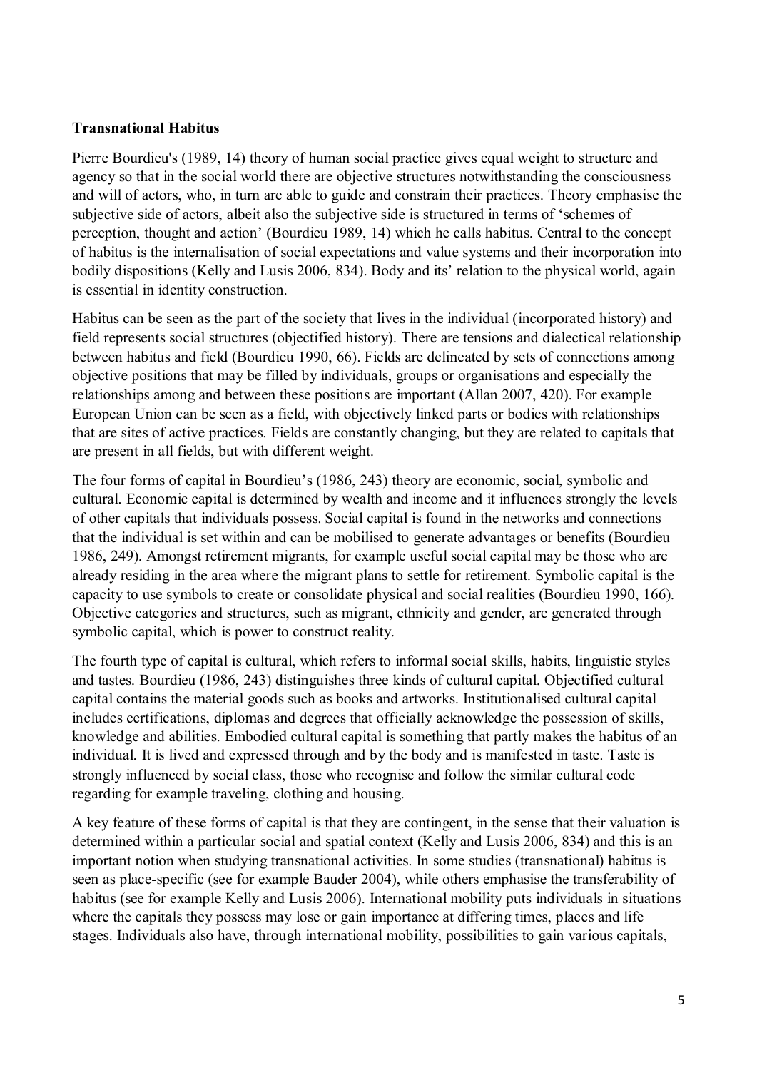#### **Transnational Habitus**

Pierre Bourdieu's (1989, 14) theory of human social practice gives equal weight to structure and agency so that in the social world there are objective structures notwithstanding the consciousness and will of actors, who, in turn are able to guide and constrain their practices. Theory emphasise the subjective side of actors, albeit also the subjective side is structured in terms of 'schemes of perception, thought and action' (Bourdieu 1989, 14) which he calls habitus. Central to the concept of habitus is the internalisation of social expectations and value systems and their incorporation into bodily dispositions (Kelly and Lusis 2006, 834). Body and its' relation to the physical world, again is essential in identity construction.

Habitus can be seen as the part of the society that lives in the individual (incorporated history) and field represents social structures (objectified history). There are tensions and dialectical relationship between habitus and field (Bourdieu 1990, 66). Fields are delineated by sets of connections among objective positions that may be filled by individuals, groups or organisations and especially the relationships among and between these positions are important (Allan 2007, 420). For example European Union can be seen as a field, with objectively linked parts or bodies with relationships that are sites of active practices. Fields are constantly changing, but they are related to capitals that are present in all fields, but with different weight.

The four forms of capital in Bourdieu's (1986, 243) theory are economic, social, symbolic and cultural. Economic capital is determined by wealth and income and it influences strongly the levels of other capitals that individuals possess. Social capital is found in the networks and connections that the individual is set within and can be mobilised to generate advantages or benefits (Bourdieu 1986, 249). Amongst retirement migrants, for example useful social capital may be those who are already residing in the area where the migrant plans to settle for retirement. Symbolic capital is the capacity to use symbols to create or consolidate physical and social realities (Bourdieu 1990, 166). Objective categories and structures, such as migrant, ethnicity and gender, are generated through symbolic capital, which is power to construct reality.

The fourth type of capital is cultural, which refers to informal social skills, habits, linguistic styles and tastes. Bourdieu (1986, 243) distinguishes three kinds of cultural capital. Objectified cultural capital contains the material goods such as books and artworks. Institutionalised cultural capital includes certifications, diplomas and degrees that officially acknowledge the possession of skills, knowledge and abilities. Embodied cultural capital is something that partly makes the habitus of an individual. It is lived and expressed through and by the body and is manifested in taste. Taste is strongly influenced by social class, those who recognise and follow the similar cultural code regarding for example traveling, clothing and housing.

A key feature of these forms of capital is that they are contingent, in the sense that their valuation is determined within a particular social and spatial context (Kelly and Lusis 2006, 834) and this is an important notion when studying transnational activities. In some studies (transnational) habitus is seen as place-specific (see for example Bauder 2004), while others emphasise the transferability of habitus (see for example Kelly and Lusis 2006). International mobility puts individuals in situations where the capitals they possess may lose or gain importance at differing times, places and life stages. Individuals also have, through international mobility, possibilities to gain various capitals,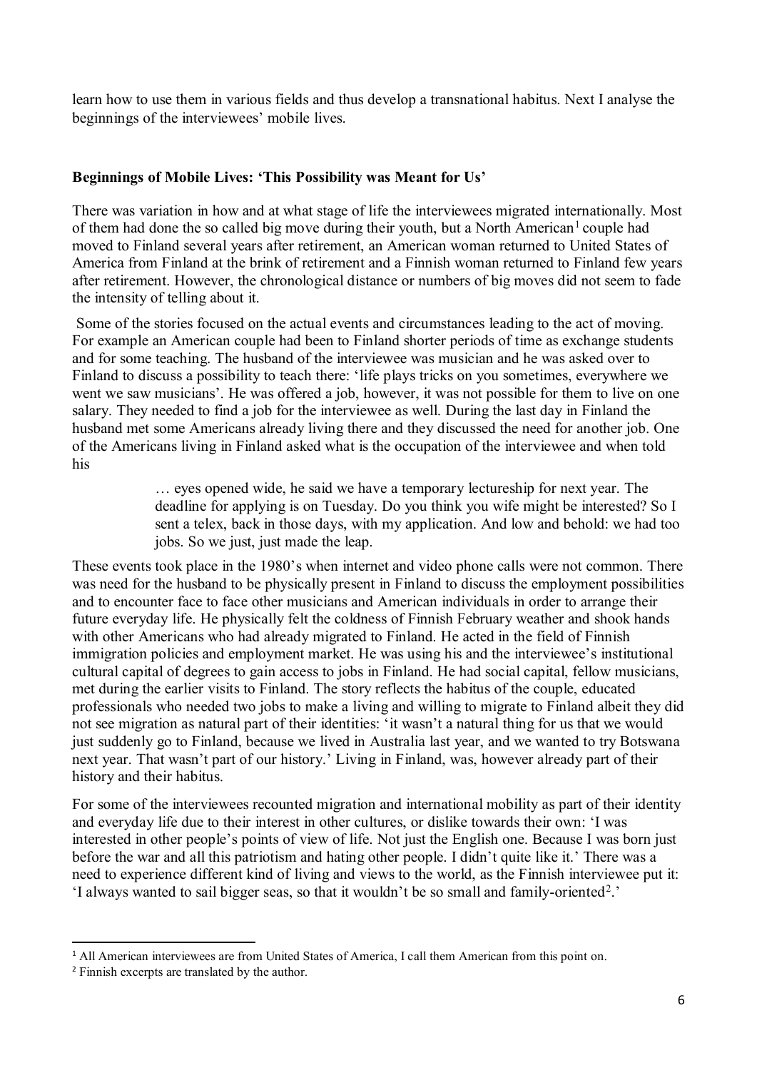learn how to use them in various fields and thus develop a transnational habitus. Next I analyse the beginnings of the interviewees' mobile lives.

#### **Beginnings of Mobile Lives: 'This Possibility was Meant for Us'**

There was variation in how and at what stage of life the interviewees migrated internationally. Most of them had done the so called big move during their youth, but a North American<sup>[1](#page-6-0)</sup> couple had moved to Finland several years after retirement, an American woman returned to United States of America from Finland at the brink of retirement and a Finnish woman returned to Finland few years after retirement. However, the chronological distance or numbers of big moves did not seem to fade the intensity of telling about it.

Some of the stories focused on the actual events and circumstances leading to the act of moving. For example an American couple had been to Finland shorter periods of time as exchange students and for some teaching. The husband of the interviewee was musician and he was asked over to Finland to discuss a possibility to teach there: 'life plays tricks on you sometimes, everywhere we went we saw musicians'. He was offered a job, however, it was not possible for them to live on one salary. They needed to find a job for the interviewee as well. During the last day in Finland the husband met some Americans already living there and they discussed the need for another job. One of the Americans living in Finland asked what is the occupation of the interviewee and when told his

> … eyes opened wide, he said we have a temporary lectureship for next year. The deadline for applying is on Tuesday. Do you think you wife might be interested? So I sent a telex, back in those days, with my application. And low and behold: we had too jobs. So we just, just made the leap.

These events took place in the 1980's when internet and video phone calls were not common. There was need for the husband to be physically present in Finland to discuss the employment possibilities and to encounter face to face other musicians and American individuals in order to arrange their future everyday life. He physically felt the coldness of Finnish February weather and shook hands with other Americans who had already migrated to Finland. He acted in the field of Finnish immigration policies and employment market. He was using his and the interviewee's institutional cultural capital of degrees to gain access to jobs in Finland. He had social capital, fellow musicians, met during the earlier visits to Finland. The story reflects the habitus of the couple, educated professionals who needed two jobs to make a living and willing to migrate to Finland albeit they did not see migration as natural part of their identities: 'it wasn't a natural thing for us that we would just suddenly go to Finland, because we lived in Australia last year, and we wanted to try Botswana next year. That wasn't part of our history.' Living in Finland, was, however already part of their history and their habitus.

For some of the interviewees recounted migration and international mobility as part of their identity and everyday life due to their interest in other cultures, or dislike towards their own: 'I was interested in other people's points of view of life. Not just the English one. Because I was born just before the war and all this patriotism and hating other people. I didn't quite like it.' There was a need to experience different kind of living and views to the world, as the Finnish interviewee put it: 'I always wanted to sail bigger seas, so that it wouldn't be so small and family-oriented[2.](#page-6-1)'

l

<span id="page-6-0"></span><sup>&</sup>lt;sup>1</sup> All American interviewees are from United States of America, I call them American from this point on.

<span id="page-6-1"></span><sup>2</sup> Finnish excerpts are translated by the author.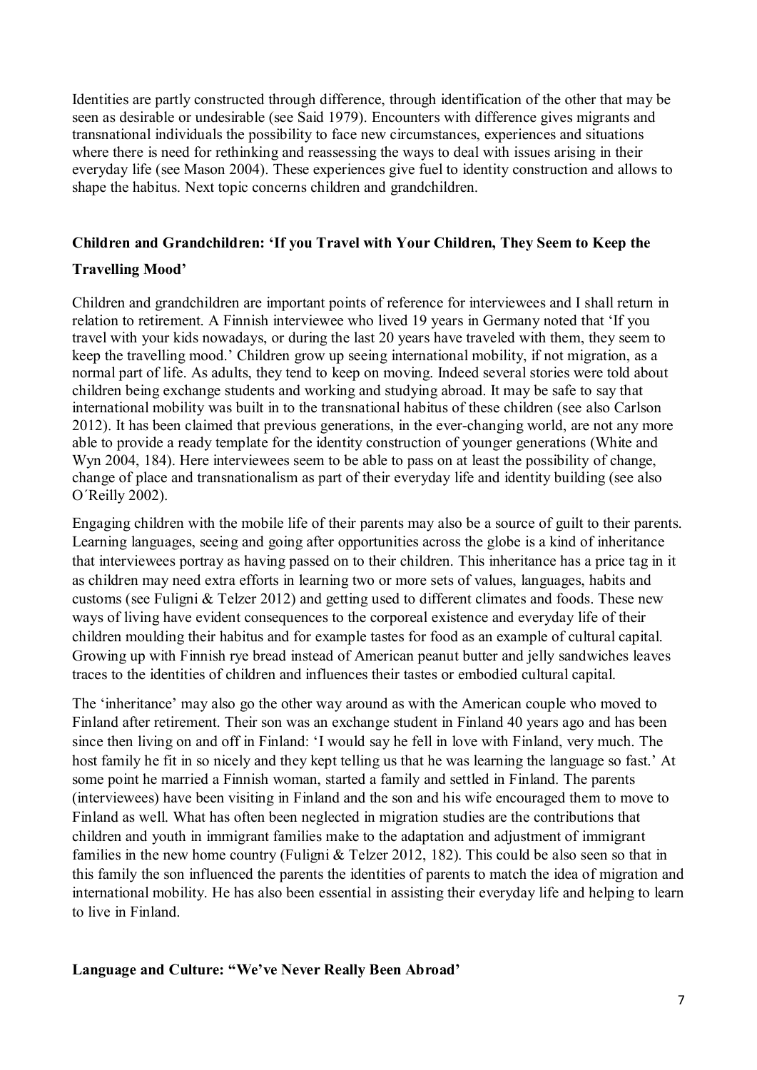Identities are partly constructed through difference, through identification of the other that may be seen as desirable or undesirable (see Said 1979). Encounters with difference gives migrants and transnational individuals the possibility to face new circumstances, experiences and situations where there is need for rethinking and reassessing the ways to deal with issues arising in their everyday life (see Mason 2004). These experiences give fuel to identity construction and allows to shape the habitus. Next topic concerns children and grandchildren.

#### **Children and Grandchildren: 'If you Travel with Your Children, They Seem to Keep the**

#### **Travelling Mood'**

Children and grandchildren are important points of reference for interviewees and I shall return in relation to retirement. A Finnish interviewee who lived 19 years in Germany noted that 'If you travel with your kids nowadays, or during the last 20 years have traveled with them, they seem to keep the travelling mood.' Children grow up seeing international mobility, if not migration, as a normal part of life. As adults, they tend to keep on moving. Indeed several stories were told about children being exchange students and working and studying abroad. It may be safe to say that international mobility was built in to the transnational habitus of these children (see also Carlson 2012). It has been claimed that previous generations, in the ever-changing world, are not any more able to provide a ready template for the identity construction of younger generations (White and Wyn 2004, 184). Here interviewees seem to be able to pass on at least the possibility of change, change of place and transnationalism as part of their everyday life and identity building (see also O´Reilly 2002).

Engaging children with the mobile life of their parents may also be a source of guilt to their parents. Learning languages, seeing and going after opportunities across the globe is a kind of inheritance that interviewees portray as having passed on to their children. This inheritance has a price tag in it as children may need extra efforts in learning two or more sets of values, languages, habits and customs (see Fuligni & Telzer 2012) and getting used to different climates and foods. These new ways of living have evident consequences to the corporeal existence and everyday life of their children moulding their habitus and for example tastes for food as an example of cultural capital. Growing up with Finnish rye bread instead of American peanut butter and jelly sandwiches leaves traces to the identities of children and influences their tastes or embodied cultural capital.

The 'inheritance' may also go the other way around as with the American couple who moved to Finland after retirement. Their son was an exchange student in Finland 40 years ago and has been since then living on and off in Finland: 'I would say he fell in love with Finland, very much. The host family he fit in so nicely and they kept telling us that he was learning the language so fast.' At some point he married a Finnish woman, started a family and settled in Finland. The parents (interviewees) have been visiting in Finland and the son and his wife encouraged them to move to Finland as well. What has often been neglected in migration studies are the contributions that children and youth in immigrant families make to the adaptation and adjustment of immigrant families in the new home country (Fuligni & Telzer 2012, 182). This could be also seen so that in this family the son influenced the parents the identities of parents to match the idea of migration and international mobility. He has also been essential in assisting their everyday life and helping to learn to live in Finland.

**Language and Culture: "We've Never Really Been Abroad'**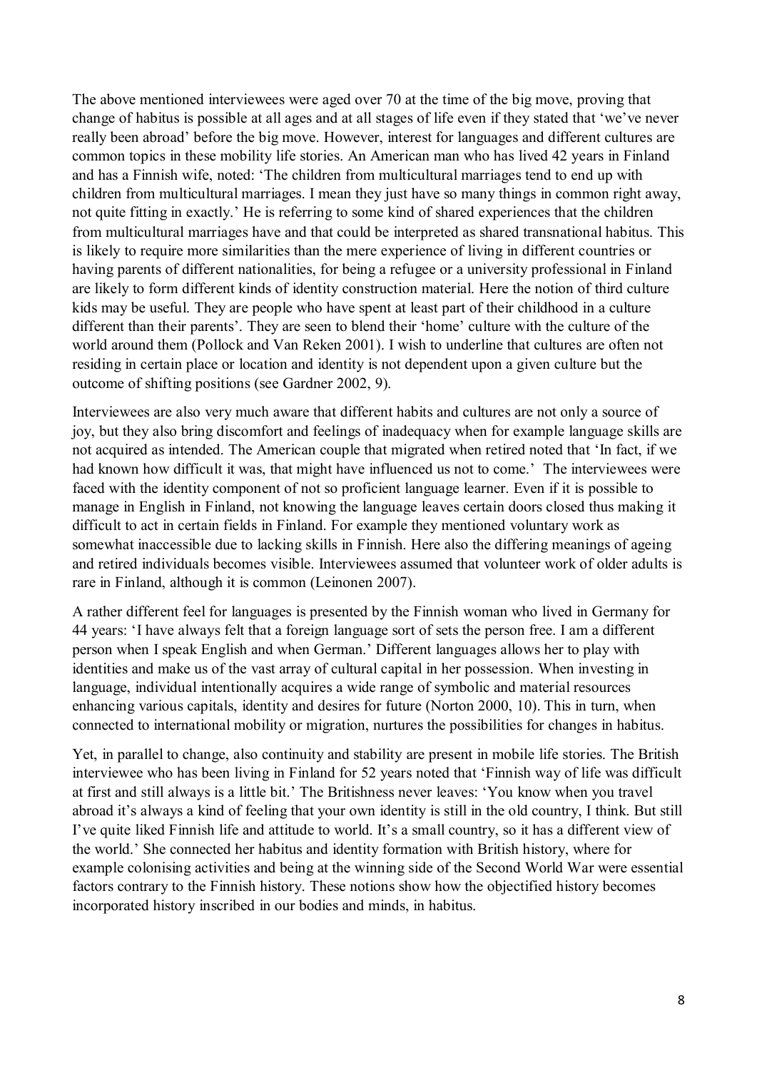The above mentioned interviewees were aged over 70 at the time of the big move, proving that change of habitus is possible at all ages and at all stages of life even if they stated that 'we've never really been abroad' before the big move. However, interest for languages and different cultures are common topics in these mobility life stories. An American man who has lived 42 years in Finland and has a Finnish wife, noted: 'The children from multicultural marriages tend to end up with children from multicultural marriages. I mean they just have so many things in common right away, not quite fitting in exactly.' He is referring to some kind of shared experiences that the children from multicultural marriages have and that could be interpreted as shared transnational habitus. This is likely to require more similarities than the mere experience of living in different countries or having parents of different nationalities, for being a refugee or a university professional in Finland are likely to form different kinds of identity construction material. Here the notion of third culture kids may be useful. They are people who have spent at least part of their childhood in a culture different than their parents'. They are seen to blend their 'home' culture with the culture of the world around them (Pollock and Van Reken 2001). I wish to underline that cultures are often not residing in certain place or location and identity is not dependent upon a given culture but the outcome of shifting positions (see Gardner 2002, 9).

Interviewees are also very much aware that different habits and cultures are not only a source of joy, but they also bring discomfort and feelings of inadequacy when for example language skills are not acquired as intended. The American couple that migrated when retired noted that 'In fact, if we had known how difficult it was, that might have influenced us not to come.' The interviewees were faced with the identity component of not so proficient language learner. Even if it is possible to manage in English in Finland, not knowing the language leaves certain doors closed thus making it difficult to act in certain fields in Finland. For example they mentioned voluntary work as somewhat inaccessible due to lacking skills in Finnish. Here also the differing meanings of ageing and retired individuals becomes visible. Interviewees assumed that volunteer work of older adults is rare in Finland, although it is common (Leinonen 2007).

A rather different feel for languages is presented by the Finnish woman who lived in Germany for 44 years: 'I have always felt that a foreign language sort of sets the person free. I am a different person when I speak English and when German.' Different languages allows her to play with identities and make us of the vast array of cultural capital in her possession. When investing in language, individual intentionally acquires a wide range of symbolic and material resources enhancing various capitals, identity and desires for future (Norton 2000, 10). This in turn, when connected to international mobility or migration, nurtures the possibilities for changes in habitus.

Yet, in parallel to change, also continuity and stability are present in mobile life stories. The British interviewee who has been living in Finland for 52 years noted that 'Finnish way of life was difficult at first and still always is a little bit.' The Britishness never leaves: 'You know when you travel abroad it's always a kind of feeling that your own identity is still in the old country, I think. But still I've quite liked Finnish life and attitude to world. It's a small country, so it has a different view of the world.' She connected her habitus and identity formation with British history, where for example colonising activities and being at the winning side of the Second World War were essential factors contrary to the Finnish history. These notions show how the objectified history becomes incorporated history inscribed in our bodies and minds, in habitus.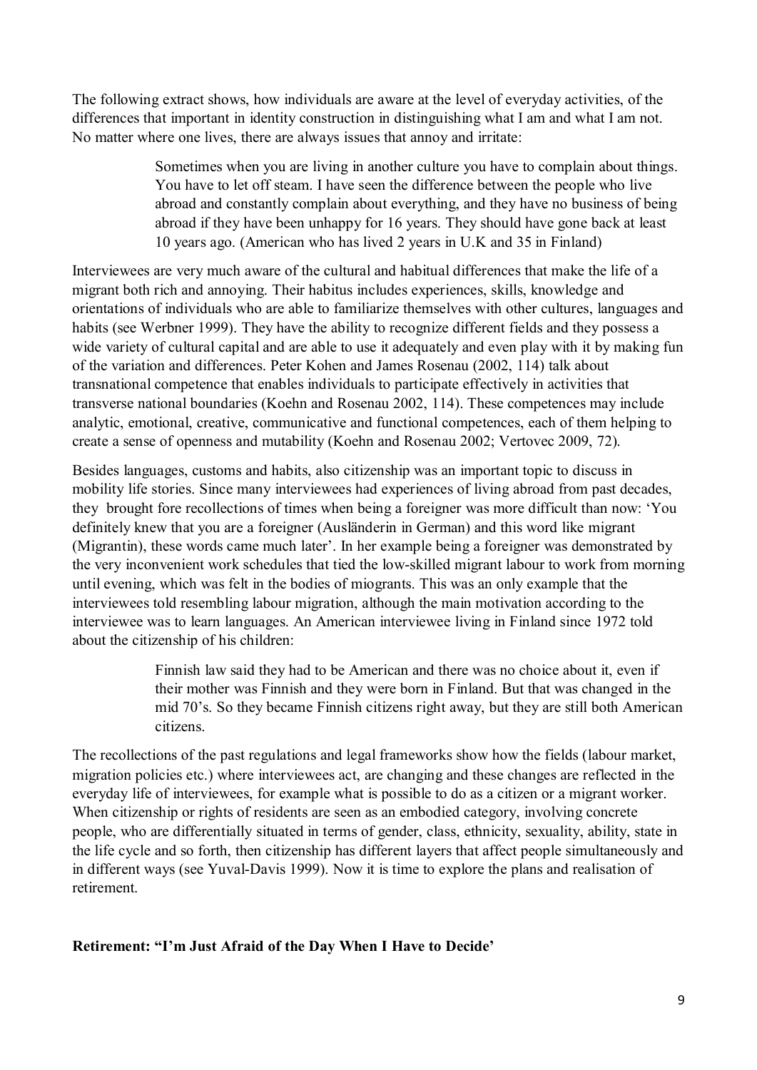The following extract shows, how individuals are aware at the level of everyday activities, of the differences that important in identity construction in distinguishing what I am and what I am not. No matter where one lives, there are always issues that annoy and irritate:

> Sometimes when you are living in another culture you have to complain about things. You have to let off steam. I have seen the difference between the people who live abroad and constantly complain about everything, and they have no business of being abroad if they have been unhappy for 16 years. They should have gone back at least 10 years ago. (American who has lived 2 years in U.K and 35 in Finland)

Interviewees are very much aware of the cultural and habitual differences that make the life of a migrant both rich and annoying. Their habitus includes experiences, skills, knowledge and orientations of individuals who are able to familiarize themselves with other cultures, languages and habits (see Werbner 1999). They have the ability to recognize different fields and they possess a wide variety of cultural capital and are able to use it adequately and even play with it by making fun of the variation and differences. Peter Kohen and James Rosenau (2002, 114) talk about transnational competence that enables individuals to participate effectively in activities that transverse national boundaries (Koehn and Rosenau 2002, 114). These competences may include analytic, emotional, creative, communicative and functional competences, each of them helping to create a sense of openness and mutability (Koehn and Rosenau 2002; Vertovec 2009, 72).

Besides languages, customs and habits, also citizenship was an important topic to discuss in mobility life stories. Since many interviewees had experiences of living abroad from past decades, they brought fore recollections of times when being a foreigner was more difficult than now: 'You definitely knew that you are a foreigner (Ausländerin in German) and this word like migrant (Migrantin), these words came much later'. In her example being a foreigner was demonstrated by the very inconvenient work schedules that tied the low-skilled migrant labour to work from morning until evening, which was felt in the bodies of miogrants. This was an only example that the interviewees told resembling labour migration, although the main motivation according to the interviewee was to learn languages. An American interviewee living in Finland since 1972 told about the citizenship of his children:

> Finnish law said they had to be American and there was no choice about it, even if their mother was Finnish and they were born in Finland. But that was changed in the mid 70's. So they became Finnish citizens right away, but they are still both American citizens.

The recollections of the past regulations and legal frameworks show how the fields (labour market, migration policies etc.) where interviewees act, are changing and these changes are reflected in the everyday life of interviewees, for example what is possible to do as a citizen or a migrant worker. When citizenship or rights of residents are seen as an embodied category, involving concrete people, who are differentially situated in terms of gender, class, ethnicity, sexuality, ability, state in the life cycle and so forth, then citizenship has different layers that affect people simultaneously and in different ways (see Yuval-Davis 1999). Now it is time to explore the plans and realisation of retirement.

**Retirement: "I'm Just Afraid of the Day When I Have to Decide'**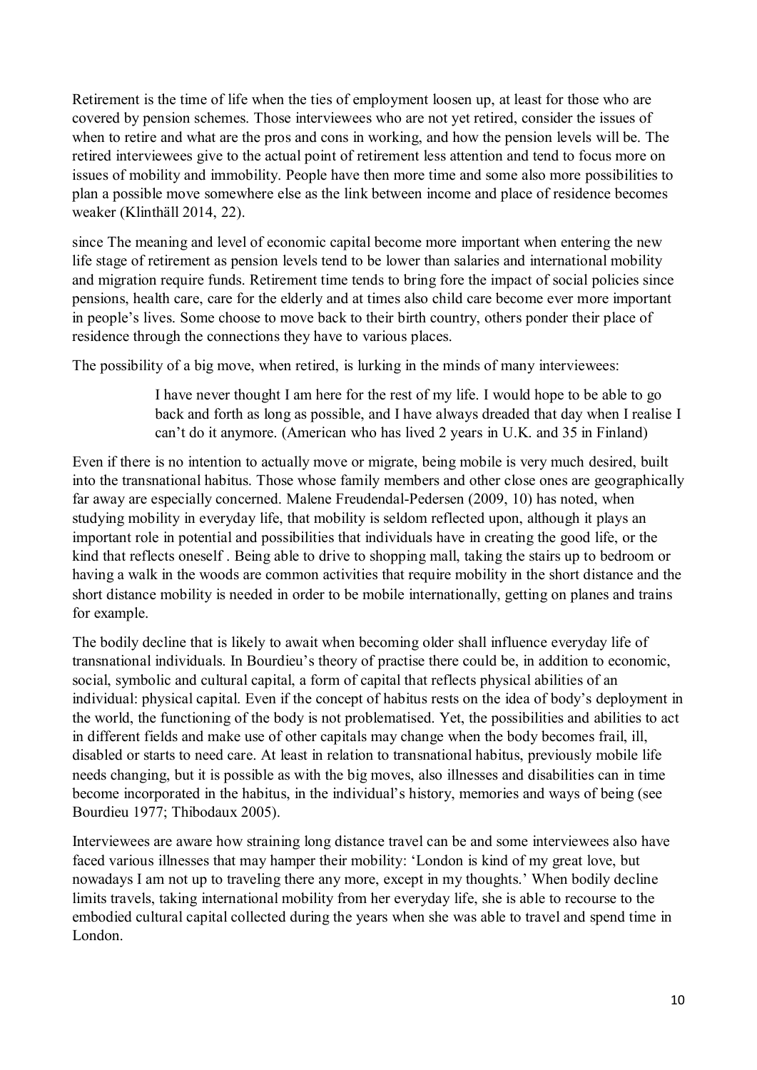Retirement is the time of life when the ties of employment loosen up, at least for those who are covered by pension schemes. Those interviewees who are not yet retired, consider the issues of when to retire and what are the pros and cons in working, and how the pension levels will be. The retired interviewees give to the actual point of retirement less attention and tend to focus more on issues of mobility and immobility. People have then more time and some also more possibilities to plan a possible move somewhere else as the link between income and place of residence becomes weaker (Klinthäll 2014, 22).

since The meaning and level of economic capital become more important when entering the new life stage of retirement as pension levels tend to be lower than salaries and international mobility and migration require funds. Retirement time tends to bring fore the impact of social policies since pensions, health care, care for the elderly and at times also child care become ever more important in people's lives. Some choose to move back to their birth country, others ponder their place of residence through the connections they have to various places.

The possibility of a big move, when retired, is lurking in the minds of many interviewees:

I have never thought I am here for the rest of my life. I would hope to be able to go back and forth as long as possible, and I have always dreaded that day when I realise I can't do it anymore. (American who has lived 2 years in U.K. and 35 in Finland)

Even if there is no intention to actually move or migrate, being mobile is very much desired, built into the transnational habitus. Those whose family members and other close ones are geographically far away are especially concerned. Malene Freudendal-Pedersen (2009, 10) has noted, when studying mobility in everyday life, that mobility is seldom reflected upon, although it plays an important role in potential and possibilities that individuals have in creating the good life, or the kind that reflects oneself . Being able to drive to shopping mall, taking the stairs up to bedroom or having a walk in the woods are common activities that require mobility in the short distance and the short distance mobility is needed in order to be mobile internationally, getting on planes and trains for example.

The bodily decline that is likely to await when becoming older shall influence everyday life of transnational individuals. In Bourdieu's theory of practise there could be, in addition to economic, social, symbolic and cultural capital, a form of capital that reflects physical abilities of an individual: physical capital. Even if the concept of habitus rests on the idea of body's deployment in the world, the functioning of the body is not problematised. Yet, the possibilities and abilities to act in different fields and make use of other capitals may change when the body becomes frail, ill, disabled or starts to need care. At least in relation to transnational habitus, previously mobile life needs changing, but it is possible as with the big moves, also illnesses and disabilities can in time become incorporated in the habitus, in the individual's history, memories and ways of being (see Bourdieu 1977; Thibodaux 2005).

Interviewees are aware how straining long distance travel can be and some interviewees also have faced various illnesses that may hamper their mobility: 'London is kind of my great love, but nowadays I am not up to traveling there any more, except in my thoughts.' When bodily decline limits travels, taking international mobility from her everyday life, she is able to recourse to the embodied cultural capital collected during the years when she was able to travel and spend time in London.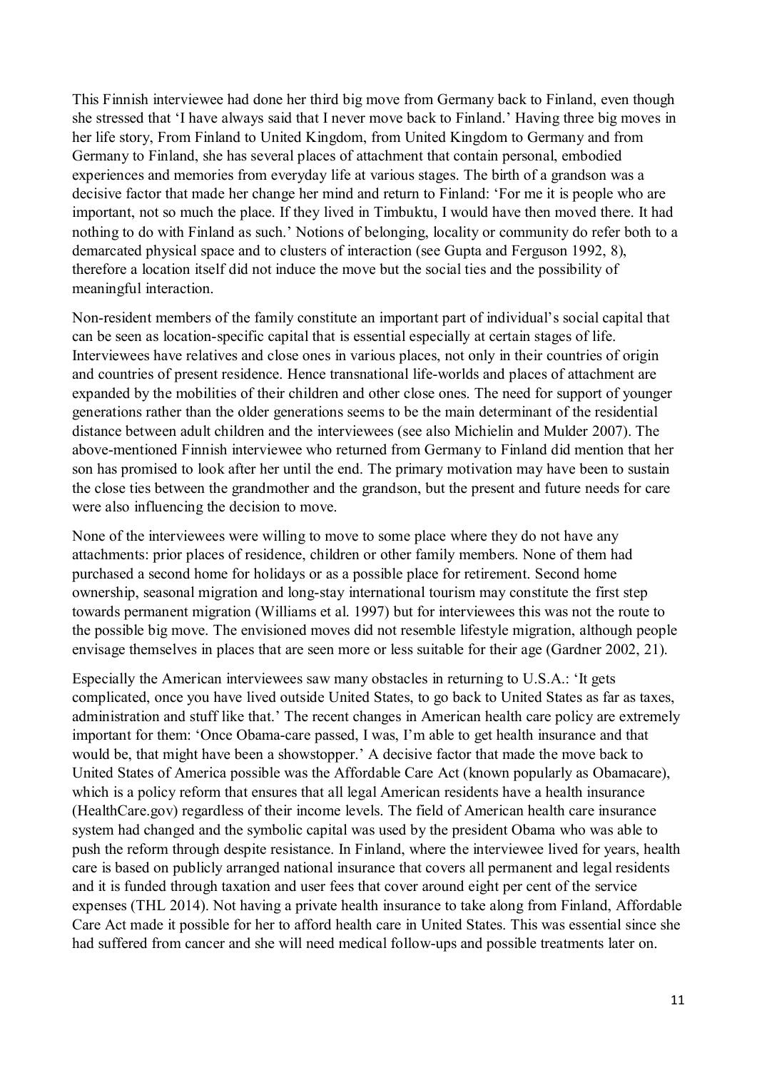This Finnish interviewee had done her third big move from Germany back to Finland, even though she stressed that 'I have always said that I never move back to Finland.' Having three big moves in her life story, From Finland to United Kingdom, from United Kingdom to Germany and from Germany to Finland, she has several places of attachment that contain personal, embodied experiences and memories from everyday life at various stages. The birth of a grandson was a decisive factor that made her change her mind and return to Finland: 'For me it is people who are important, not so much the place. If they lived in Timbuktu, I would have then moved there. It had nothing to do with Finland as such.' Notions of belonging, locality or community do refer both to a demarcated physical space and to clusters of interaction (see Gupta and Ferguson 1992, 8), therefore a location itself did not induce the move but the social ties and the possibility of meaningful interaction.

Non-resident members of the family constitute an important part of individual's social capital that can be seen as location-specific capital that is essential especially at certain stages of life. Interviewees have relatives and close ones in various places, not only in their countries of origin and countries of present residence. Hence transnational life-worlds and places of attachment are expanded by the mobilities of their children and other close ones. The need for support of younger generations rather than the older generations seems to be the main determinant of the residential distance between adult children and the interviewees (see also Michielin and Mulder 2007). The above-mentioned Finnish interviewee who returned from Germany to Finland did mention that her son has promised to look after her until the end. The primary motivation may have been to sustain the close ties between the grandmother and the grandson, but the present and future needs for care were also influencing the decision to move.

None of the interviewees were willing to move to some place where they do not have any attachments: prior places of residence, children or other family members. None of them had purchased a second home for holidays or as a possible place for retirement. Second home ownership, seasonal migration and long-stay international tourism may constitute the first step towards permanent migration (Williams et al. 1997) but for interviewees this was not the route to the possible big move. The envisioned moves did not resemble lifestyle migration, although people envisage themselves in places that are seen more or less suitable for their age (Gardner 2002, 21).

Especially the American interviewees saw many obstacles in returning to U.S.A.: 'It gets complicated, once you have lived outside United States, to go back to United States as far as taxes, administration and stuff like that.' The recent changes in American health care policy are extremely important for them: 'Once Obama-care passed, I was, I'm able to get health insurance and that would be, that might have been a showstopper.' A decisive factor that made the move back to United States of America possible was the Affordable Care Act (known popularly as Obamacare), which is a policy reform that ensures that all legal American residents have a health insurance (HealthCare.gov) regardless of their income levels. The field of American health care insurance system had changed and the symbolic capital was used by the president Obama who was able to push the reform through despite resistance. In Finland, where the interviewee lived for years, health care is based on publicly arranged national insurance that covers all permanent and legal residents and it is funded through taxation and user fees that cover around eight per cent of the service expenses (THL 2014). Not having a private health insurance to take along from Finland, Affordable Care Act made it possible for her to afford health care in United States. This was essential since she had suffered from cancer and she will need medical follow-ups and possible treatments later on.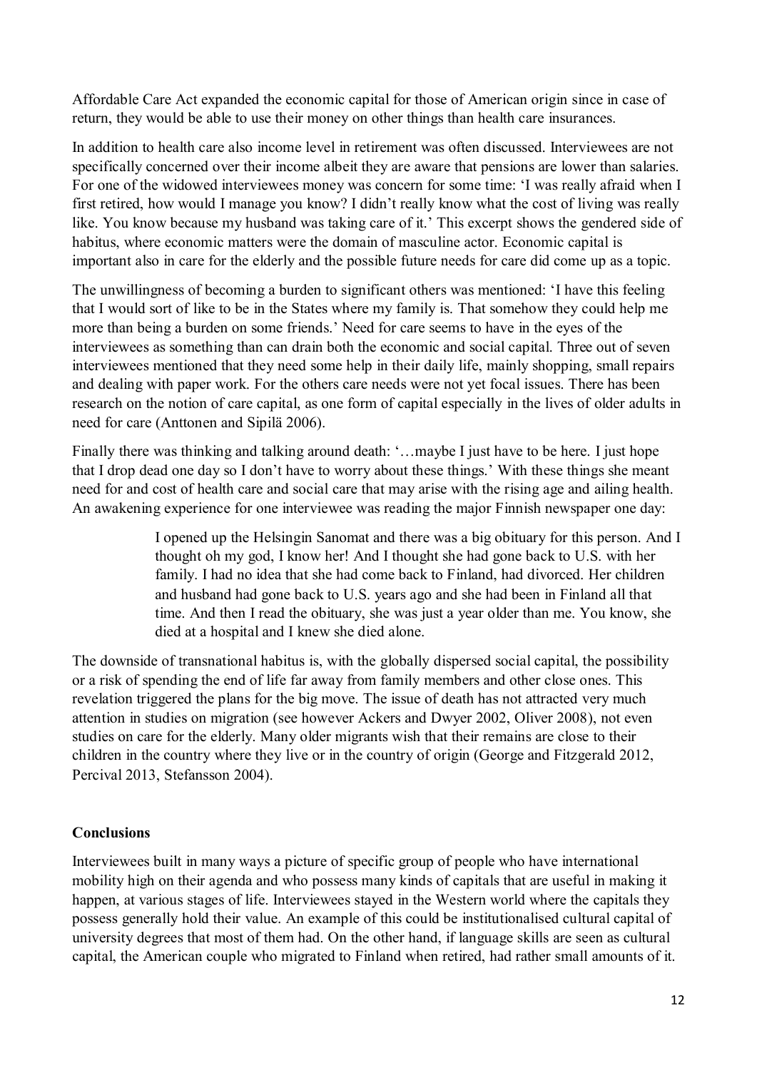Affordable Care Act expanded the economic capital for those of American origin since in case of return, they would be able to use their money on other things than health care insurances.

In addition to health care also income level in retirement was often discussed. Interviewees are not specifically concerned over their income albeit they are aware that pensions are lower than salaries. For one of the widowed interviewees money was concern for some time: 'I was really afraid when I first retired, how would I manage you know? I didn't really know what the cost of living was really like. You know because my husband was taking care of it.' This excerpt shows the gendered side of habitus, where economic matters were the domain of masculine actor. Economic capital is important also in care for the elderly and the possible future needs for care did come up as a topic.

The unwillingness of becoming a burden to significant others was mentioned: 'I have this feeling that I would sort of like to be in the States where my family is. That somehow they could help me more than being a burden on some friends.' Need for care seems to have in the eyes of the interviewees as something than can drain both the economic and social capital. Three out of seven interviewees mentioned that they need some help in their daily life, mainly shopping, small repairs and dealing with paper work. For the others care needs were not yet focal issues. There has been research on the notion of care capital, as one form of capital especially in the lives of older adults in need for care (Anttonen and Sipilä 2006).

Finally there was thinking and talking around death: '…maybe I just have to be here. I just hope that I drop dead one day so I don't have to worry about these things.' With these things she meant need for and cost of health care and social care that may arise with the rising age and ailing health. An awakening experience for one interviewee was reading the major Finnish newspaper one day:

> I opened up the Helsingin Sanomat and there was a big obituary for this person. And I thought oh my god, I know her! And I thought she had gone back to U.S. with her family. I had no idea that she had come back to Finland, had divorced. Her children and husband had gone back to U.S. years ago and she had been in Finland all that time. And then I read the obituary, she was just a year older than me. You know, she died at a hospital and I knew she died alone.

The downside of transnational habitus is, with the globally dispersed social capital, the possibility or a risk of spending the end of life far away from family members and other close ones. This revelation triggered the plans for the big move. The issue of death has not attracted very much attention in studies on migration (see however Ackers and Dwyer 2002, Oliver 2008), not even studies on care for the elderly. Many older migrants wish that their remains are close to their children in the country where they live or in the country of origin (George and Fitzgerald 2012, Percival 2013, Stefansson 2004).

#### **Conclusions**

Interviewees built in many ways a picture of specific group of people who have international mobility high on their agenda and who possess many kinds of capitals that are useful in making it happen, at various stages of life. Interviewees stayed in the Western world where the capitals they possess generally hold their value. An example of this could be institutionalised cultural capital of university degrees that most of them had. On the other hand, if language skills are seen as cultural capital, the American couple who migrated to Finland when retired, had rather small amounts of it.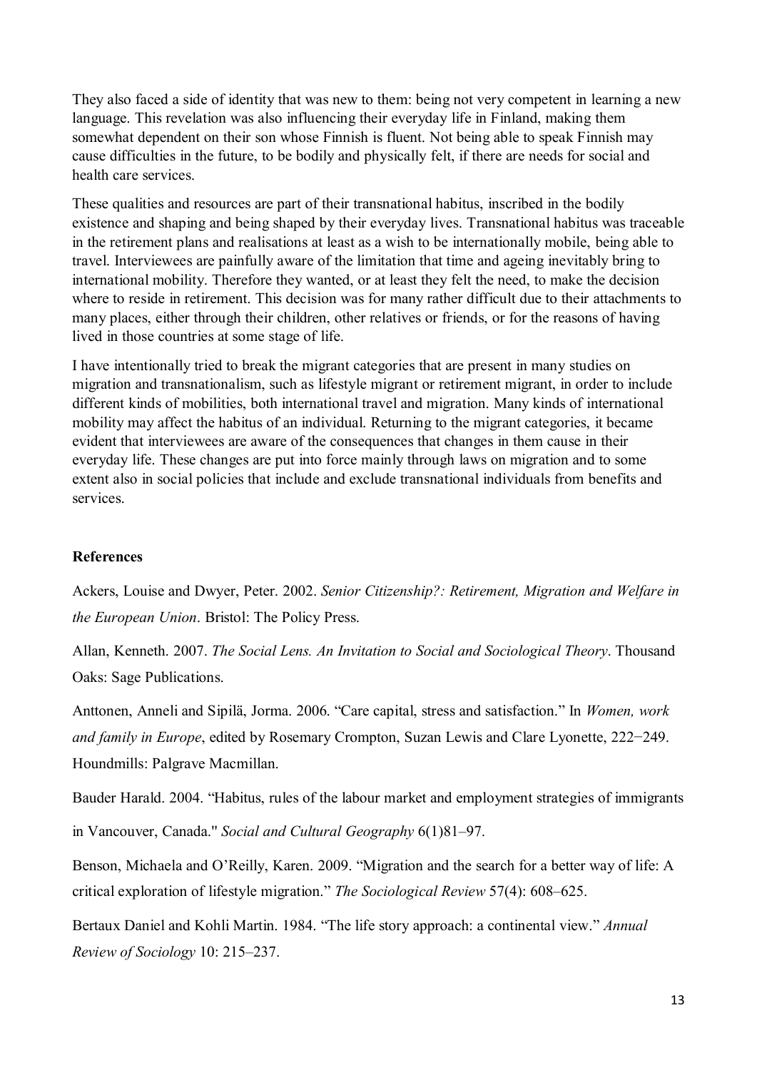They also faced a side of identity that was new to them: being not very competent in learning a new language. This revelation was also influencing their everyday life in Finland, making them somewhat dependent on their son whose Finnish is fluent. Not being able to speak Finnish may cause difficulties in the future, to be bodily and physically felt, if there are needs for social and health care services.

These qualities and resources are part of their transnational habitus, inscribed in the bodily existence and shaping and being shaped by their everyday lives. Transnational habitus was traceable in the retirement plans and realisations at least as a wish to be internationally mobile, being able to travel. Interviewees are painfully aware of the limitation that time and ageing inevitably bring to international mobility. Therefore they wanted, or at least they felt the need, to make the decision where to reside in retirement. This decision was for many rather difficult due to their attachments to many places, either through their children, other relatives or friends, or for the reasons of having lived in those countries at some stage of life.

I have intentionally tried to break the migrant categories that are present in many studies on migration and transnationalism, such as lifestyle migrant or retirement migrant, in order to include different kinds of mobilities, both international travel and migration. Many kinds of international mobility may affect the habitus of an individual. Returning to the migrant categories, it became evident that interviewees are aware of the consequences that changes in them cause in their everyday life. These changes are put into force mainly through laws on migration and to some extent also in social policies that include and exclude transnational individuals from benefits and services.

#### **References**

Ackers, Louise and Dwyer, Peter. 2002. *Senior Citizenship?: Retirement, Migration and Welfare in the European Union*. Bristol: The Policy Press.

Allan, Kenneth. 2007. *The Social Lens. An Invitation to Social and Sociological Theory*. Thousand Oaks: Sage Publications.

Anttonen, Anneli and Sipilä, Jorma. 2006. "Care capital, stress and satisfaction." In *Women, work and family in Europe*, edited by Rosemary Crompton, Suzan Lewis and Clare Lyonette, 222−249. Houndmills: Palgrave Macmillan.

Bauder Harald. 2004. "Habitus, rules of the labour market and employment strategies of immigrants

in Vancouver, Canada." *Social and Cultural Geography* 6(1)81-97.

Benson, Michaela and O'Reilly, Karen. 2009. "Migration and the search for a better way of life: A critical exploration of lifestyle migration." *The Sociological Review* 57(4): 608–625.

Bertaux Daniel and Kohli Martin. 1984. "The life story approach: a continental view." *Annual Review of Sociology* 10: 215‒237.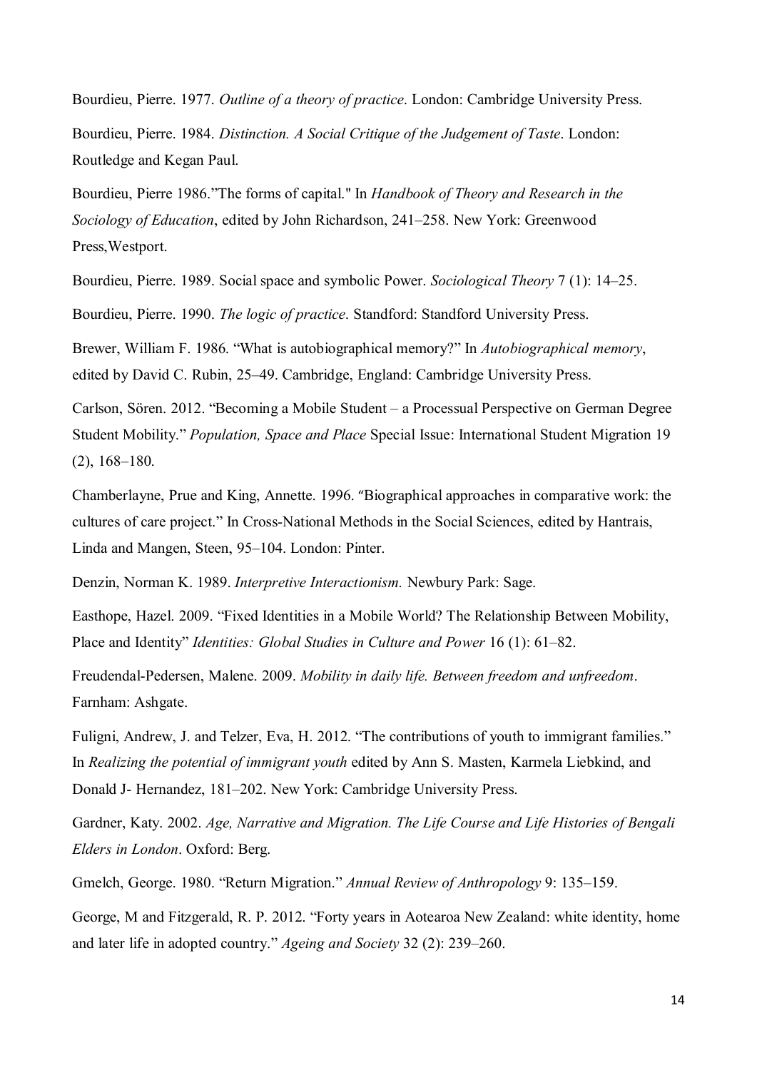Bourdieu, Pierre. 1977. *Outline of a theory of practice*. London: Cambridge University Press.

Bourdieu, Pierre. 1984. *Distinction. A Social Critique of the Judgement of Taste*. London: Routledge and Kegan Paul.

Bourdieu, Pierre 1986."The forms of capital.'' In *Handbook of Theory and Research in the Sociology of Education*, edited by John Richardson, 241–258. New York: Greenwood Press,Westport.

Bourdieu, Pierre. 1989. Social space and symbolic Power. *Sociological Theory* 7 (1): 14–25.

Bourdieu, Pierre. 1990. *The logic of practice*. Standford: Standford University Press.

Brewer, William F. 1986. "What is autobiographical memory?" In *Autobiographical memory*, edited by David C. Rubin, 25–49. Cambridge, England: Cambridge University Press.

Carlson, Sören. 2012. "Becoming a Mobile Student – a Processual Perspective on German Degree Student Mobility." *Population, Space and Place* Special Issue: International Student Migration 19 (2), 168–180.

Chamberlayne, Prue and King, Annette. 1996. "Biographical approaches in comparative work: the cultures of care project." In Cross-National Methods in the Social Sciences, edited by Hantrais, Linda and Mangen, Steen, 95-104. London: Pinter.

Denzin, Norman K. 1989. *Interpretive Interactionism.* Newbury Park: Sage.

Easthope, Hazel. 2009. "Fixed Identities in a Mobile World? The Relationship Between Mobility, Place and Identity" *Identities: Global Studies in Culture and Power* 16 (1): 61–82.

Freudendal-Pedersen, Malene. 2009. *Mobility in daily life. Between freedom and unfreedom*. Farnham: Ashgate.

Fuligni, Andrew, J. and Telzer, Eva, H. 2012. "The contributions of youth to immigrant families." In *Realizing the potential of immigrant youth* edited by Ann S. Masten, Karmela Liebkind, and Donald J- Hernandez, 181–202. New York: Cambridge University Press.

Gardner, Katy. 2002. *Age, Narrative and Migration. The Life Course and Life Histories of Bengali Elders in London*. Oxford: Berg.

Gmelch, George. 1980. "Return Migration." *Annual Review of Anthropology* 9: 135–159.

George, M and Fitzgerald, R. P. 2012. "Forty years in Aotearoa New Zealand: white identity, home and later life in adopted country." *Ageing and Society* 32 (2): 239–260.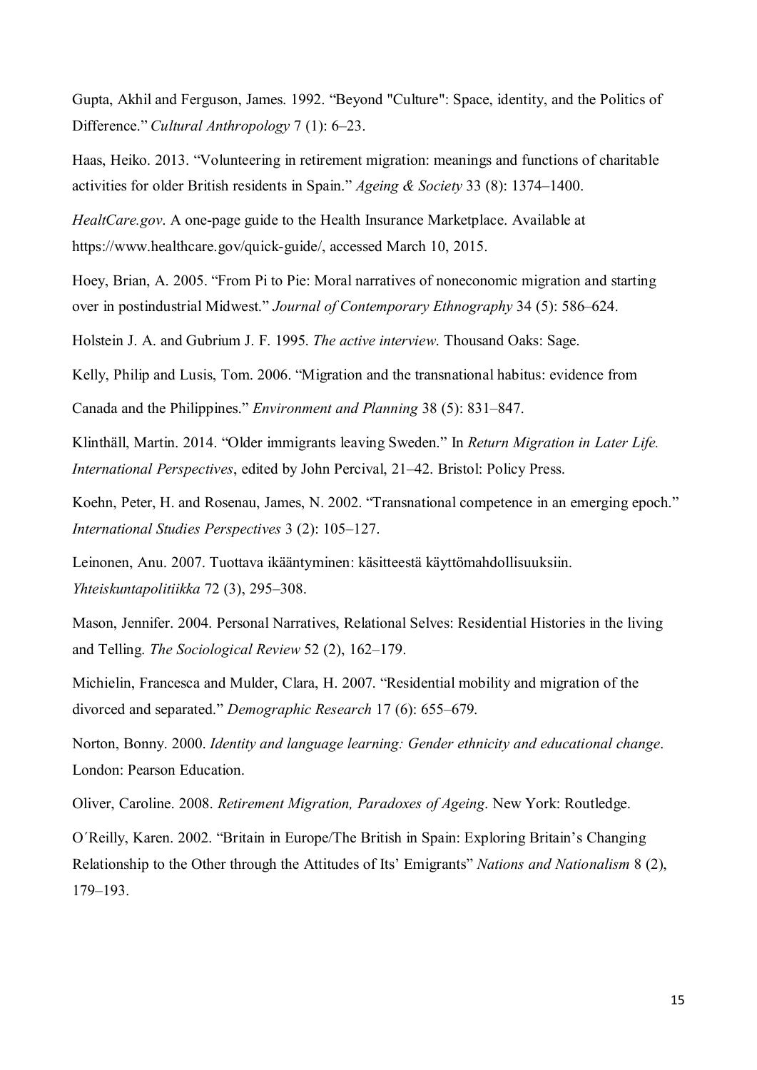Gupta, Akhil and Ferguson, James. 1992. "Beyond "Culture": Space, identity, and the Politics of Difference." *Cultural Anthropology* 7 (1): 6‒23.

Haas, Heiko. 2013. "Volunteering in retirement migration: meanings and functions of charitable activities for older British residents in Spain." *Ageing & Society* 33 (8): 1374‒1400.

*HealtCare.gov*. A one-page guide to the Health Insurance Marketplace. Available at https://www.healthcare.gov/quick-guide/, accessed March 10, 2015.

Hoey, Brian, A. 2005. "From Pi to Pie: Moral narratives of noneconomic migration and starting over in postindustrial Midwest." *Journal of Contemporary Ethnography* 34 (5): 586–624.

Holstein J. A. and Gubrium J. F. 1995. *The active interview*. Thousand Oaks: Sage.

Kelly, Philip and Lusis, Tom. 2006. "Migration and the transnational habitus: evidence from

Canada and the Philippines." *Environment and Planning* 38 (5): 831‒847.

Klinthäll, Martin. 2014. "Older immigrants leaving Sweden." In *Return Migration in Later Life. International Perspectives*, edited by John Percival, 21–42. Bristol: Policy Press.

Koehn, Peter, H. and Rosenau, James, N. 2002. "Transnational competence in an emerging epoch." *International Studies Perspectives* 3 (2): 105‒127.

Leinonen, Anu. 2007. Tuottava ikääntyminen: käsitteestä käyttömahdollisuuksiin. *Yhteiskuntapolitiikka* 72 (3), 295‒308.

Mason, Jennifer. 2004. Personal Narratives, Relational Selves: Residential Histories in the living and Telling. *The Sociological Review* 52 (2), 162–179.

Michielin, Francesca and Mulder, Clara, H. 2007. "Residential mobility and migration of the divorced and separated." *Demographic Research* 17 (6): 655–679.

Norton, Bonny. 2000. *Identity and language learning: Gender ethnicity and educational change*. London: Pearson Education.

Oliver, Caroline. 2008. *Retirement Migration, Paradoxes of Ageing*. New York: Routledge.

O´Reilly, Karen. 2002. "Britain in Europe/The British in Spain: Exploring Britain's Changing Relationship to the Other through the Attitudes of Its' Emigrants" *Nations and Nationalism* 8 (2), 179‒193.